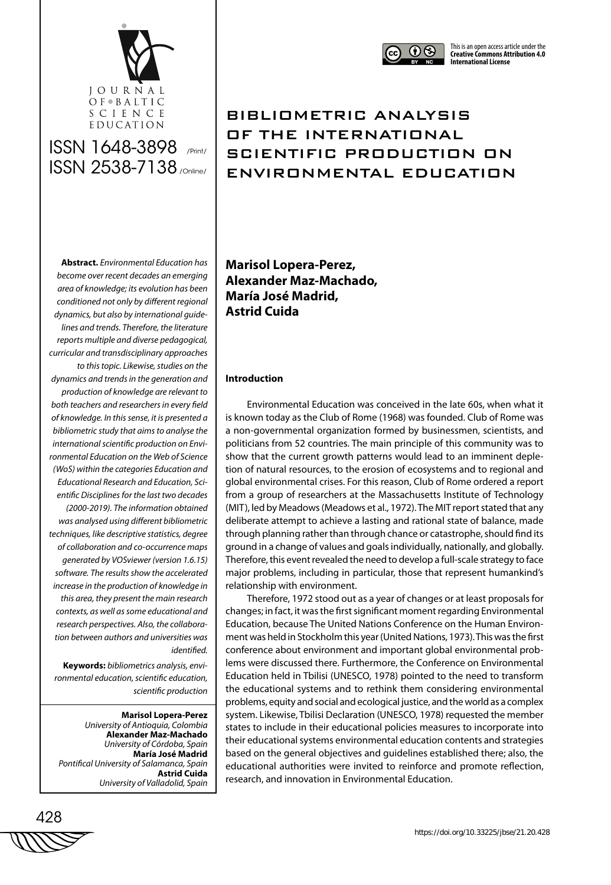



## BIBLIOMETRIC ANALYSIS OF THE INTERNATIONAL SCIENTIFIC PRODUCTION ON ENVIRONMENTAL EDUCATION

**Abstract.** *Environmental Education has become over recent decades an emerging area of knowledge; its evolution has been conditioned not only by different regional dynamics, but also by international guidelines and trends. Therefore, the literature reports multiple and diverse pedagogical, curricular and transdisciplinary approaches to this topic. Likewise, studies on the dynamics and trends in the generation and production of knowledge are relevant to both teachers and researchers in every field of knowledge. In this sense, it is presented a bibliometric study that aims to analyse the international scientific production on Environmental Education on the Web of Science (WoS) within the categories Education and Educational Research and Education, Scientific Disciplines for the last two decades (2000-2019). The information obtained was analysed using different bibliometric techniques, like descriptive statistics, degree of collaboration and co-occurrence maps generated by VOSviewer (version 1.6.15) software. The results show the accelerated increase in the production of knowledge in this area, they present the main research contexts, as well as some educational and research perspectives. Also, the collaboration between authors and universities was* 

**Keywords:** *bibliometrics analysis, environmental education, scientific education, scientific production*

*identified.* 

**Marisol Lopera-Perez** *University of Antioquia, Colombia* **Alexander Maz-Machado** *University of Córdoba, Spain* **María José Madrid** *Pontifical University of Salamanca, Spain* **Astrid Cuida** *University of Valladolid, Spain*

**Marisol Lopera-Perez, Alexander Maz-Machado, María José Madrid, Astrid Cuida**

#### **Introduction**

Environmental Education was conceived in the late 60s, when what it is known today as the Club of Rome (1968) was founded. Club of Rome was a non-governmental organization formed by businessmen, scientists, and politicians from 52 countries. The main principle of this community was to show that the current growth patterns would lead to an imminent depletion of natural resources, to the erosion of ecosystems and to regional and global environmental crises. For this reason, Club of Rome ordered a report from a group of researchers at the Massachusetts Institute of Technology (MIT), led by Meadows (Meadows et al., 1972). The MIT report stated that any deliberate attempt to achieve a lasting and rational state of balance, made through planning rather than through chance or catastrophe, should find its ground in a change of values and goals individually, nationally, and globally. Therefore, this event revealed the need to develop a full-scale strategy to face major problems, including in particular, those that represent humankind's relationship with environment.

Therefore, 1972 stood out as a year of changes or at least proposals for changes; in fact, it was the first significant moment regarding Environmental Education, because The United Nations Conference on the Human Environment was held in Stockholm this year (United Nations, 1973). This was the first conference about environment and important global environmental problems were discussed there. Furthermore, the Conference on Environmental Education held in Tbilisi (UNESCO, 1978) pointed to the need to transform the educational systems and to rethink them considering environmental problems, equity and social and ecological justice, and the world as a complex system. Likewise, Tbilisi Declaration (UNESCO, 1978) requested the member states to include in their educational policies measures to incorporate into their educational systems environmental education contents and strategies based on the general objectives and guidelines established there; also, the educational authorities were invited to reinforce and promote reflection, research, and innovation in Environmental Education.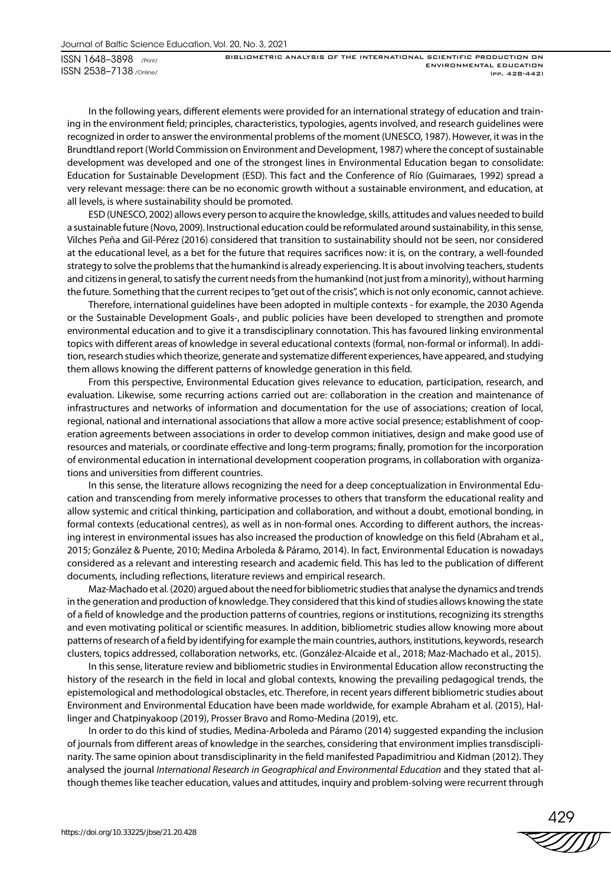BIBLIOMETRIC ANALYSIS OF THE INTERNATIONAL SCIENTIFIC PRODUCTION ON ENVIRONMENTAL EDUCATION (pp. 428-442)

In the following years, different elements were provided for an international strategy of education and training in the environment field; principles, characteristics, typologies, agents involved, and research guidelines were recognized in order to answer the environmental problems of the moment (UNESCO, 1987). However, it was in the Brundtland report (World Commission on Environment and Development, 1987) where the concept of sustainable development was developed and one of the strongest lines in Environmental Education began to consolidate: Education for Sustainable Development (ESD). This fact and the Conference of Río (Guimaraes, 1992) spread a very relevant message: there can be no economic growth without a sustainable environment, and education, at all levels, is where sustainability should be promoted.

ESD (UNESCO, 2002) allows every person to acquire the knowledge, skills, attitudes and values needed to build a sustainable future (Novo, 2009). Instructional education could be reformulated around sustainability, in this sense, Vilches Peña and Gil-Pérez (2016) considered that transition to sustainability should not be seen, nor considered at the educational level, as a bet for the future that requires sacrifices now: it is, on the contrary, a well-founded strategy to solve the problems that the humankind is already experiencing. It is about involving teachers, students and citizens in general, to satisfy the current needs from the humankind (not just from a minority), without harming the future. Something that the current recipes to "get out of the crisis", which is not only economic, cannot achieve.

Therefore, international guidelines have been adopted in multiple contexts - for example, the 2030 Agenda or the Sustainable Development Goals-, and public policies have been developed to strengthen and promote environmental education and to give it a transdisciplinary connotation. This has favoured linking environmental topics with different areas of knowledge in several educational contexts (formal, non-formal or informal). In addition, research studies which theorize, generate and systematize different experiences, have appeared, and studying them allows knowing the different patterns of knowledge generation in this field.

From this perspective, Environmental Education gives relevance to education, participation, research, and evaluation. Likewise, some recurring actions carried out are: collaboration in the creation and maintenance of infrastructures and networks of information and documentation for the use of associations; creation of local, regional, national and international associations that allow a more active social presence; establishment of cooperation agreements between associations in order to develop common initiatives, design and make good use of resources and materials, or coordinate effective and long-term programs; finally, promotion for the incorporation of environmental education in international development cooperation programs, in collaboration with organizations and universities from different countries.

In this sense, the literature allows recognizing the need for a deep conceptualization in Environmental Education and transcending from merely informative processes to others that transform the educational reality and allow systemic and critical thinking, participation and collaboration, and without a doubt, emotional bonding, in formal contexts (educational centres), as well as in non-formal ones. According to different authors, the increasing interest in environmental issues has also increased the production of knowledge on this field (Abraham et al., 2015; González & Puente, 2010; Medina Arboleda & Páramo, 2014). In fact, Environmental Education is nowadays considered as a relevant and interesting research and academic field. This has led to the publication of different documents, including reflections, literature reviews and empirical research.

Maz-Machado et al. (2020) argued about the need for bibliometric studies that analyse the dynamics and trends in the generation and production of knowledge. They considered that this kind of studies allows knowing the state of a field of knowledge and the production patterns of countries, regions or institutions, recognizing its strengths and even motivating political or scientific measures. In addition, bibliometric studies allow knowing more about patterns of research of a field by identifying for example the main countries, authors, institutions, keywords, research clusters, topics addressed, collaboration networks, etc. (González-Alcaide et al., 2018; Maz-Machado et al., 2015).

In this sense, literature review and bibliometric studies in Environmental Education allow reconstructing the history of the research in the field in local and global contexts, knowing the prevailing pedagogical trends, the epistemological and methodological obstacles, etc. Therefore, in recent years different bibliometric studies about Environment and Environmental Education have been made worldwide, for example Abraham et al. (2015), Hallinger and Chatpinyakoop (2019), Prosser Bravo and Romo-Medina (2019), etc.

In order to do this kind of studies, Medina-Arboleda and Páramo (2014) suggested expanding the inclusion of journals from different areas of knowledge in the searches, considering that environment implies transdisciplinarity. The same opinion about transdisciplinarity in the field manifested Papadimitriou and Kidman (2012). They analysed the journal *International Research in Geographical and Environmental Education* and they stated that although themes like teacher education, values and attitudes, inquiry and problem-solving were recurrent through

429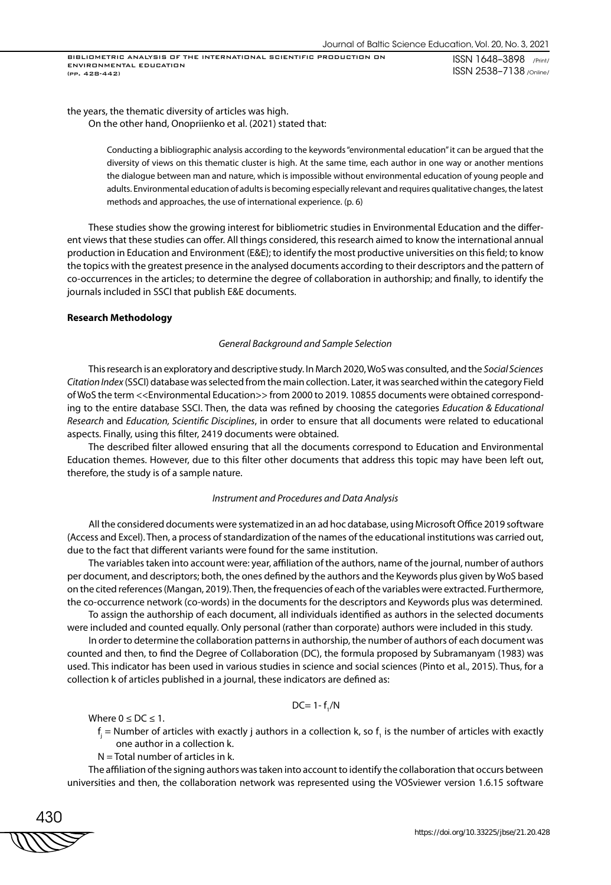BIBLIOMETRIC ANALYSIS OF THE INTERNATIONAL SCIENTIFIC PRODUCTION ON ENVIRONMENTAL EDUCATION (pp. 428-442)

ISSN 1648–3898 /Print/ ISSN 2538–7138 /Online/

the years, the thematic diversity of articles was high.

On the other hand, Onopriienko et al. (2021) stated that:

Conducting a bibliographic analysis according to the keywords "environmental education" it can be argued that the diversity of views on this thematic cluster is high. At the same time, each author in one way or another mentions the dialogue between man and nature, which is impossible without environmental education of young people and adults. Environmental education of adults is becoming especially relevant and requires qualitative changes, the latest methods and approaches, the use of international experience. (p. 6)

These studies show the growing interest for bibliometric studies in Environmental Education and the different views that these studies can offer. All things considered, this research aimed to know the international annual production in Education and Environment (E&E); to identify the most productive universities on this field; to know the topics with the greatest presence in the analysed documents according to their descriptors and the pattern of co-occurrences in the articles; to determine the degree of collaboration in authorship; and finally, to identify the journals included in SSCI that publish E&E documents.

#### **Research Methodology**

#### *General Background and Sample Selection*

This research is an exploratory and descriptive study. In March 2020, WoS was consulted, and the *Social Sciences Citation Index* (SSCI) database was selected from the main collection. Later, it was searched within the category Field of WoS the term <<Environmental Education>> from 2000 to 2019. 10855 documents were obtained corresponding to the entire database SSCI. Then, the data was refined by choosing the categories *Education & Educational Research* and *Education, Scientific Disciplines*, in order to ensure that all documents were related to educational aspects. Finally, using this filter, 2419 documents were obtained.

The described filter allowed ensuring that all the documents correspond to Education and Environmental Education themes. However, due to this filter other documents that address this topic may have been left out, therefore, the study is of a sample nature.

#### *Instrument and Procedures and Data Analysis*

All the considered documents were systematized in an ad hoc database, using Microsoft Office 2019 software (Access and Excel). Then, a process of standardization of the names of the educational institutions was carried out, due to the fact that different variants were found for the same institution.

The variables taken into account were: year, affiliation of the authors, name of the journal, number of authors per document, and descriptors; both, the ones defined by the authors and the Keywords plus given by WoS based on the cited references (Mangan, 2019). Then, the frequencies of each of the variables were extracted. Furthermore, the co-occurrence network (co-words) in the documents for the descriptors and Keywords plus was determined.

To assign the authorship of each document, all individuals identified as authors in the selected documents were included and counted equally. Only personal (rather than corporate) authors were included in this study.

In order to determine the collaboration patterns in authorship, the number of authors of each document was counted and then, to find the Degree of Collaboration (DC), the formula proposed by Subramanyam (1983) was used. This indicator has been used in various studies in science and social sciences (Pinto et al., 2015). Thus, for a collection k of articles published in a journal, these indicators are defined as:

$$
DC=1-f_{1}/N
$$

Where  $0 \leq DC \leq 1$ .

- $f_j$  = Number of articles with exactly j authors in a collection k, so  $f_i$  is the number of articles with exactly one author in a collection k.
- $N =$  Total number of articles in k.

The affiliation of the signing authors was taken into account to identify the collaboration that occurs between universities and then, the collaboration network was represented using the VOSviewer version 1.6.15 software

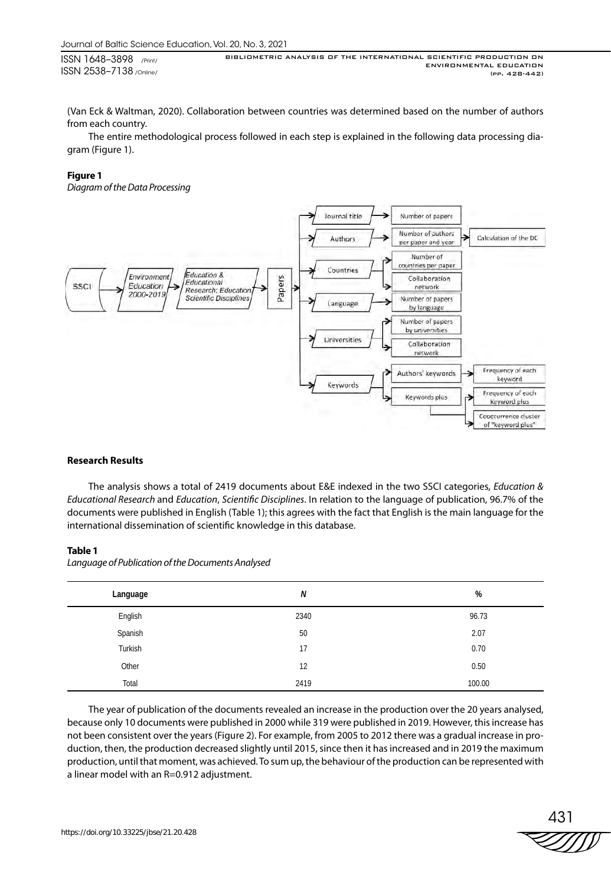BIBLIOMETRIC ANALYSIS OF THE INTERNATIONAL SCIENTIFIC PRODUCTION ON ENVIRONMENTAL EDUCATION (pp. 428-442)

(Van Eck & Waltman, 2020). Collaboration between countries was determined based on the number of authors from each country.

The entire methodological process followed in each step is explained in the following data processing diagram (Figure 1).

#### **Figure 1**

*Diagram of the Data Processing*



## **Research Results**

The analysis shows a total of 2419 documents about E&E indexed in the two SSCI categories, *Education & Educational Research* and *Education*, *Scientific Disciplines*. In relation to the language of publication, 96.7% of the documents were published in English (Table 1); this agrees with the fact that English is the main language for the international dissemination of scientific knowledge in this database.

#### **Table 1**

| Language | N    | %      |
|----------|------|--------|
| English  | 2340 | 96.73  |
| Spanish  | 50   | 2.07   |
| Turkish  | 17   | 0.70   |
| Other    | 12   | 0.50   |
| Total    | 2419 | 100.00 |

*Language of Publication of the Documents Analysed*

The year of publication of the documents revealed an increase in the production over the 20 years analysed, because only 10 documents were published in 2000 while 319 were published in 2019. However, this increase has not been consistent over the years (Figure 2). For example, from 2005 to 2012 there was a gradual increase in production, then, the production decreased slightly until 2015, since then it has increased and in 2019 the maximum production, until that moment, was achieved. To sum up, the behaviour of the production can be represented with a linear model with an R=0.912 adjustment.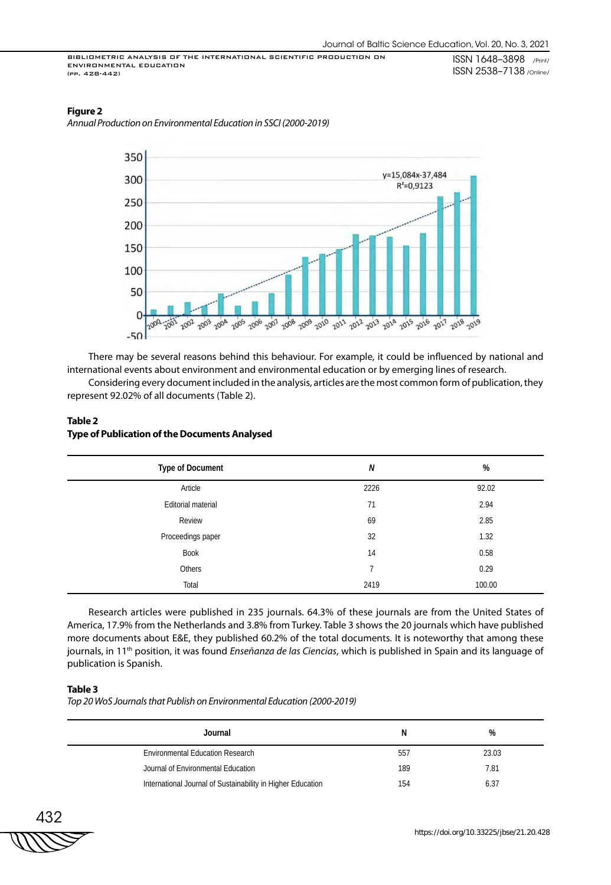## **Figure 2**

*Annual Production on Environmental Education in SSCI (2000-2019)*



There may be several reasons behind this behaviour. For example, it could be influenced by national and international events about environment and environmental education or by emerging lines of research.

Considering every document included in the analysis, articles are the most common form of publication, they represent 92.02% of all documents (Table 2).

## **Table 2 Type of Publication of the Documents Analysed**

| <b>Type of Document</b> | N              | %      |
|-------------------------|----------------|--------|
| Article                 | 2226           | 92.02  |
| Editorial material      | 71             | 2.94   |
| Review                  | 69             | 2.85   |
| Proceedings paper       | 32             | 1.32   |
| <b>Book</b>             | 14             | 0.58   |
| Others                  | $\overline{ }$ | 0.29   |
| Total                   | 2419           | 100.00 |

Research articles were published in 235 journals. 64.3% of these journals are from the United States of America, 17.9% from the Netherlands and 3.8% from Turkey. Table 3 shows the 20 journals which have published more documents about E&E, they published 60.2% of the total documents. It is noteworthy that among these journals, in 11<sup>th</sup> position, it was found *Enseñanza de las Ciencias*, which is published in Spain and its language of publication is Spanish.

## **Table 3**

*Top 20 WoS Journals that Publish on Environmental Education (2000-2019)*

| Journal                                                     | N   | %     |
|-------------------------------------------------------------|-----|-------|
| Environmental Education Research                            | 557 | 23.03 |
| Journal of Environmental Education                          | 189 | 7.81  |
| International Journal of Sustainability in Higher Education | 154 | 6.37  |

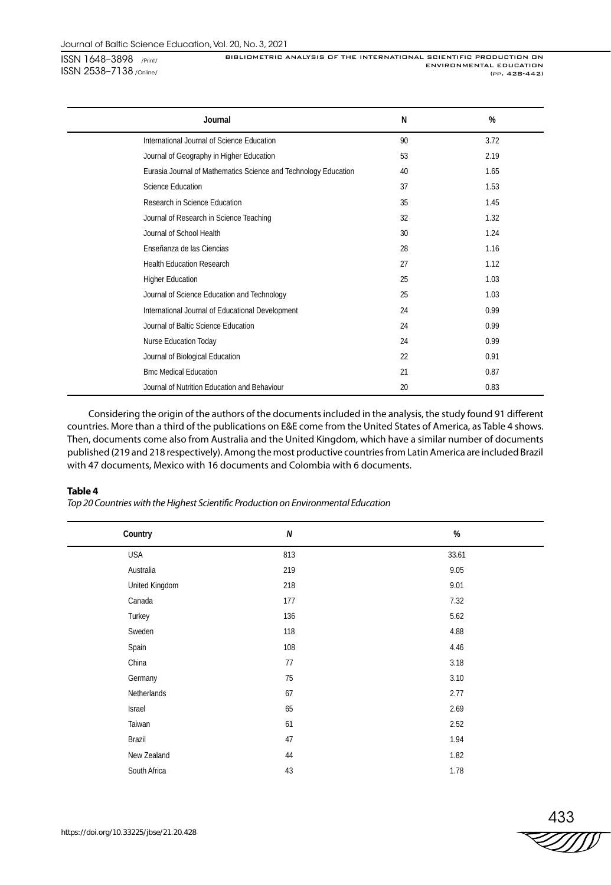BIBLIOMETRIC ANALYSIS OF THE INTERNATIONAL SCIENTIFIC PRODUCTION ON ENVIRONMENTAL EDUCATION (pp. 428-442)

| Journal                                                         | N  | %    |
|-----------------------------------------------------------------|----|------|
| International Journal of Science Education                      | 90 | 3.72 |
| Journal of Geography in Higher Education                        | 53 | 2.19 |
| Eurasia Journal of Mathematics Science and Technology Education | 40 | 1.65 |
| Science Education                                               | 37 | 1.53 |
| Research in Science Education                                   | 35 | 1.45 |
| Journal of Research in Science Teaching                         | 32 | 1.32 |
| Journal of School Health                                        | 30 | 1.24 |
| Enseñanza de las Ciencias                                       | 28 | 1.16 |
| <b>Health Education Research</b>                                | 27 | 1.12 |
| <b>Higher Education</b>                                         | 25 | 1.03 |
| Journal of Science Education and Technology                     | 25 | 1.03 |
| International Journal of Educational Development                | 24 | 0.99 |
| Journal of Baltic Science Education                             | 24 | 0.99 |
| Nurse Education Today                                           | 24 | 0.99 |
| Journal of Biological Education                                 | 22 | 0.91 |
| <b>Bmc Medical Education</b>                                    | 21 | 0.87 |
| Journal of Nutrition Education and Behaviour                    | 20 | 0.83 |

Considering the origin of the authors of the documents included in the analysis, the study found 91 different countries. More than a third of the publications on E&E come from the United States of America, as Table 4 shows. Then, documents come also from Australia and the United Kingdom, which have a similar number of documents published (219 and 218 respectively). Among the most productive countries from Latin America are included Brazil with 47 documents, Mexico with 16 documents and Colombia with 6 documents.

#### **Table 4**

*Top 20 Countries with the Highest Scientific Production on Environmental Education*

| Country        | $\pmb N$ | $\%$  |
|----------------|----------|-------|
| <b>USA</b>     | 813      | 33.61 |
| Australia      | 219      | 9.05  |
| United Kingdom | 218      | 9.01  |
| Canada         | 177      | 7.32  |
| Turkey         | 136      | 5.62  |
| Sweden         | 118      | 4.88  |
| Spain          | 108      | 4.46  |
| China          | 77       | 3.18  |
| Germany        | 75       | 3.10  |
| Netherlands    | 67       | 2.77  |
| Israel         | 65       | 2.69  |
| Taiwan         | 61       | 2.52  |
| Brazil         | 47       | 1.94  |
| New Zealand    | 44       | 1.82  |
| South Africa   | 43       | 1.78  |

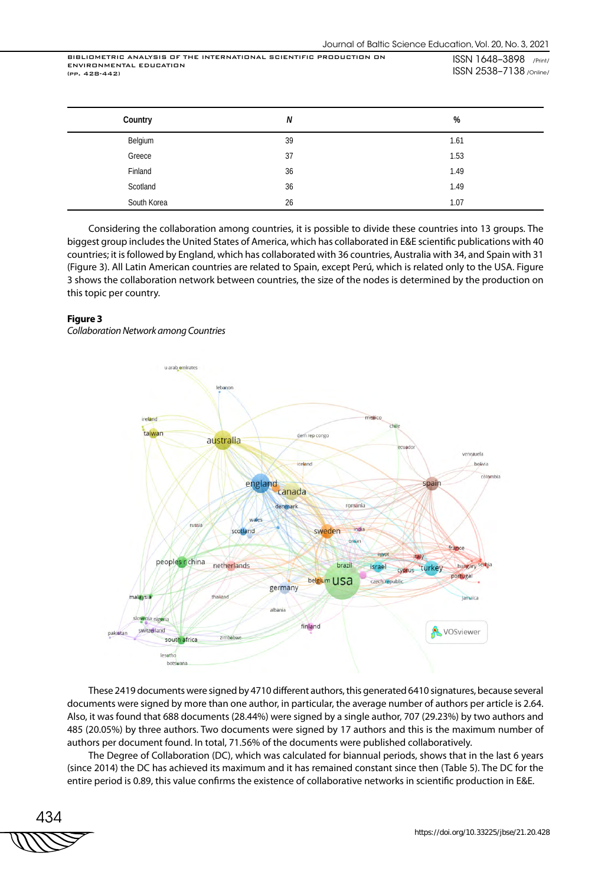| Country     | N  | %    |
|-------------|----|------|
| Belgium     | 39 | 1.61 |
| Greece      | 37 | 1.53 |
| Finland     | 36 | 1.49 |
| Scotland    | 36 | 1.49 |
| South Korea | 26 | 1.07 |

Considering the collaboration among countries, it is possible to divide these countries into 13 groups. The biggest group includes the United States of America, which has collaborated in E&E scientific publications with 40 countries; it is followed by England, which has collaborated with 36 countries, Australia with 34, and Spain with 31 (Figure 3). All Latin American countries are related to Spain, except Perú, which is related only to the USA. Figure 3 shows the collaboration network between countries, the size of the nodes is determined by the production on this topic per country.

#### **Figure 3**

*Collaboration Network among Countries*



These 2419 documents were signed by 4710 different authors, this generated 6410 signatures, because several documents were signed by more than one author, in particular, the average number of authors per article is 2.64. Also, it was found that 688 documents (28.44%) were signed by a single author, 707 (29.23%) by two authors and 485 (20.05%) by three authors. Two documents were signed by 17 authors and this is the maximum number of authors per document found. In total, 71.56% of the documents were published collaboratively.

The Degree of Collaboration (DC), which was calculated for biannual periods, shows that in the last 6 years (since 2014) the DC has achieved its maximum and it has remained constant since then (Table 5). The DC for the entire period is 0.89, this value confirms the existence of collaborative networks in scientific production in E&E.

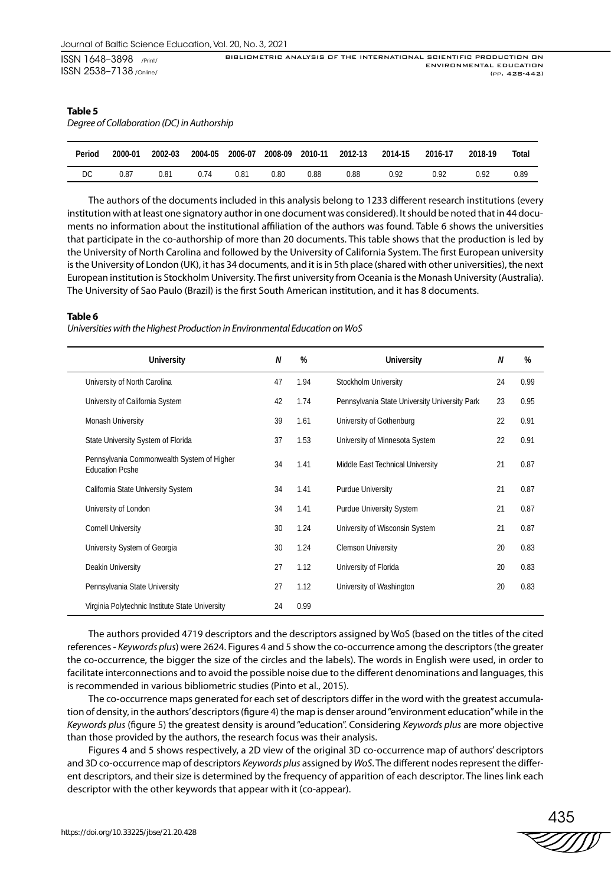| ISSN 1648-3898 /Print/         | BIBLIOMETRIC ANALYSIS OF THE INTERNATIONAL SCIENTIFIC PRODUCTION ON |
|--------------------------------|---------------------------------------------------------------------|
|                                | ENVIRONMENTAL EDUCATION                                             |
| <b>ISSN 2538-7138</b> /Online/ | (PP. 428-442)                                                       |

#### **Table 5**

*Degree of Collaboration (DC) in Authorship*

| Period | 2000-01 | 2002-03 | 2004-05 | 2006-07 | 2008-09 | 2010-11 | 2012-13 | 2014-15 | 2016-17 | 2018-19 | Total |
|--------|---------|---------|---------|---------|---------|---------|---------|---------|---------|---------|-------|
| DC.    | 0.87    | 0.81    | 0.74    | 0.81    | 0.80    | 0.88    | 0.88    | 0.92    | በ 92    | 0.92    | 0.89  |

The authors of the documents included in this analysis belong to 1233 different research institutions (every institution with at least one signatory author in one document was considered). It should be noted that in 44 documents no information about the institutional affiliation of the authors was found. Table 6 shows the universities that participate in the co-authorship of more than 20 documents. This table shows that the production is led by the University of North Carolina and followed by the University of California System. The first European university is the University of London (UK), it has 34 documents, and it is in 5th place (shared with other universities), the next European institution is Stockholm University. The first university from Oceania is the Monash University (Australia). The University of Sao Paulo (Brazil) is the first South American institution, and it has 8 documents.

#### **Table 6**

*Universities with the Highest Production in Environmental Education on WoS*

| <b>University</b>                                                    | N  | %    | <b>University</b>                             | N  | %    |
|----------------------------------------------------------------------|----|------|-----------------------------------------------|----|------|
| University of North Carolina                                         | 47 | 1.94 | Stockholm University                          | 24 | 0.99 |
| University of California System                                      | 42 | 1.74 | Pennsylvania State University University Park | 23 | 0.95 |
| Monash University                                                    | 39 | 1.61 | University of Gothenburg                      | 22 | 0.91 |
| State University System of Florida                                   | 37 | 1.53 | University of Minnesota System                | 22 | 0.91 |
| Pennsylvania Commonwealth System of Higher<br><b>Education Pcshe</b> | 34 | 1.41 | Middle East Technical University              | 21 | 0.87 |
| California State University System                                   | 34 | 1.41 | Purdue University                             | 21 | 0.87 |
| University of London                                                 | 34 | 1.41 | <b>Purdue University System</b>               | 21 | 0.87 |
| <b>Cornell University</b>                                            | 30 | 1.24 | University of Wisconsin System                | 21 | 0.87 |
| University System of Georgia                                         | 30 | 1.24 | <b>Clemson University</b>                     | 20 | 0.83 |
| Deakin University                                                    | 27 | 1.12 | University of Florida                         | 20 | 0.83 |
| Pennsylvania State University                                        | 27 | 1.12 | University of Washington                      | 20 | 0.83 |
| Virginia Polytechnic Institute State University                      | 24 | 0.99 |                                               |    |      |

The authors provided 4719 descriptors and the descriptors assigned by WoS (based on the titles of the cited references - *Keywords plus*) were 2624. Figures 4 and 5 show the co-occurrence among the descriptors (the greater the co-occurrence, the bigger the size of the circles and the labels). The words in English were used, in order to facilitate interconnections and to avoid the possible noise due to the different denominations and languages, this is recommended in various bibliometric studies (Pinto et al., 2015).

The co-occurrence maps generated for each set of descriptors differ in the word with the greatest accumulation of density, in the authors' descriptors (figure 4) the map is denser around "environment education" while in the *Keywords plus* (figure 5) the greatest density is around "education". Considering *Keywords plus* are more objective than those provided by the authors, the research focus was their analysis.

Figures 4 and 5 shows respectively, a 2D view of the original 3D co-occurrence map of authors' descriptors and 3D co-occurrence map of descriptors *Keywords plus* assigned by *WoS*. The different nodes represent the different descriptors, and their size is determined by the frequency of apparition of each descriptor. The lines link each descriptor with the other keywords that appear with it (co-appear).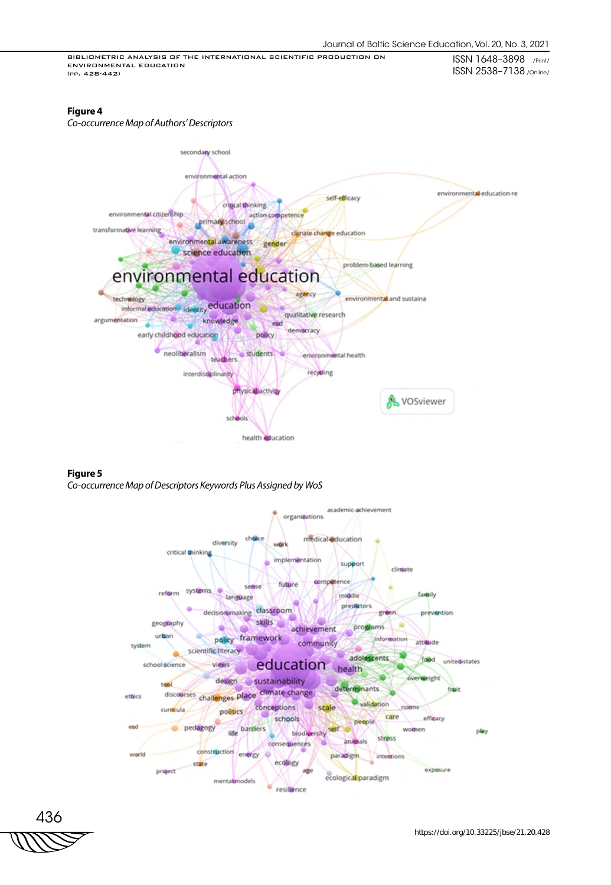### **Figure 4**

*Co-occurrence Map of Authors' Descriptors*



## **Figure 5**

*Co-occurrence Map of Descriptors Keywords Plus Assigned by WoS*



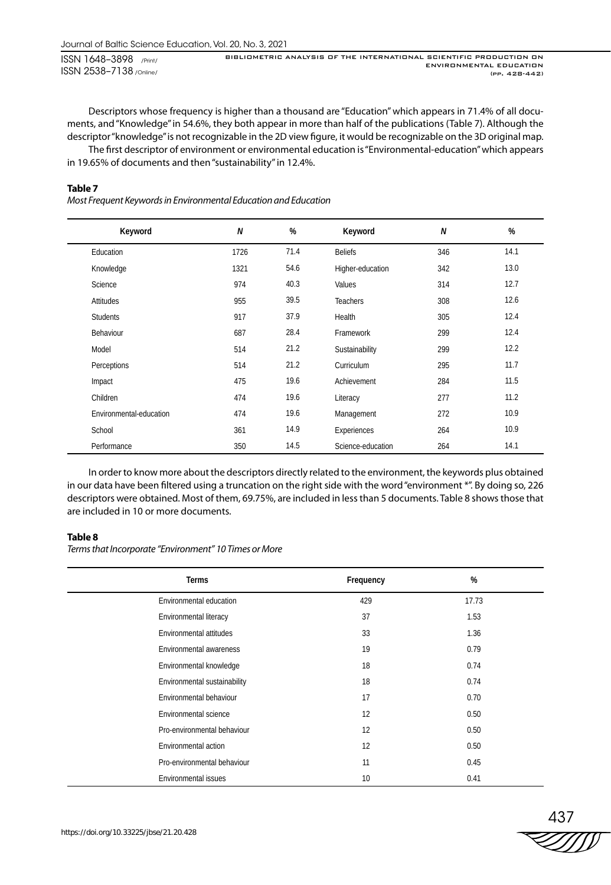BIBLIOMETRIC ANALYSIS OF THE INTERNATIONAL SCIENTIFIC PRODUCTION ON ENVIRONMENTAL EDUCATION (pp. 428-442)

Descriptors whose frequency is higher than a thousand are "Education" which appears in 71.4% of all documents, and "Knowledge" in 54.6%, they both appear in more than half of the publications (Table 7). Although the descriptor "knowledge" is not recognizable in the 2D view figure, it would be recognizable on the 3D original map.

The first descriptor of environment or environmental education is "Environmental-education" which appears in 19.65% of documents and then "sustainability" in 12.4%.

#### **Table 7**

*Most Frequent Keywords in Environmental Education and Education*

| Keyword                 | N    | %    | Keyword           | N   | %    |
|-------------------------|------|------|-------------------|-----|------|
| Education               | 1726 | 71.4 | <b>Beliefs</b>    | 346 | 14.1 |
| Knowledge               | 1321 | 54.6 | Higher-education  | 342 | 13.0 |
| Science                 | 974  | 40.3 | Values            | 314 | 12.7 |
| Attitudes               | 955  | 39.5 | <b>Teachers</b>   | 308 | 12.6 |
| <b>Students</b>         | 917  | 37.9 | Health            | 305 | 12.4 |
| Behaviour               | 687  | 28.4 | Framework         | 299 | 12.4 |
| Model                   | 514  | 21.2 | Sustainability    | 299 | 12.2 |
| Perceptions             | 514  | 21.2 | Curriculum        | 295 | 11.7 |
| Impact                  | 475  | 19.6 | Achievement       | 284 | 11.5 |
| Children                | 474  | 19.6 | Literacy          | 277 | 11.2 |
| Environmental-education | 474  | 19.6 | Management        | 272 | 10.9 |
| School                  | 361  | 14.9 | Experiences       | 264 | 10.9 |
| Performance             | 350  | 14.5 | Science-education | 264 | 14.1 |

In order to know more about the descriptors directly related to the environment, the keywords plus obtained in our data have been filtered using a truncation on the right side with the word "environment \*". By doing so, 226 descriptors were obtained. Most of them, 69.75%, are included in less than 5 documents. Table 8 shows those that are included in 10 or more documents.

#### **Table 8**

*Terms that Incorporate "Environment" 10 Times or More*

| <b>Terms</b>                 | Frequency | %     |
|------------------------------|-----------|-------|
| Environmental education      | 429       | 17.73 |
| Environmental literacy       | 37        | 1.53  |
| Environmental attitudes      | 33        | 1.36  |
| Environmental awareness      | 19        | 0.79  |
| Environmental knowledge      | 18        | 0.74  |
| Environmental sustainability | 18        | 0.74  |
| Environmental behaviour      | 17        | 0.70  |
| Environmental science        | 12        | 0.50  |
| Pro-environmental behaviour  | 12        | 0.50  |
| Environmental action         | 12        | 0.50  |
| Pro-environmental behaviour  | 11        | 0.45  |
| Environmental issues         | 10        | 0.41  |

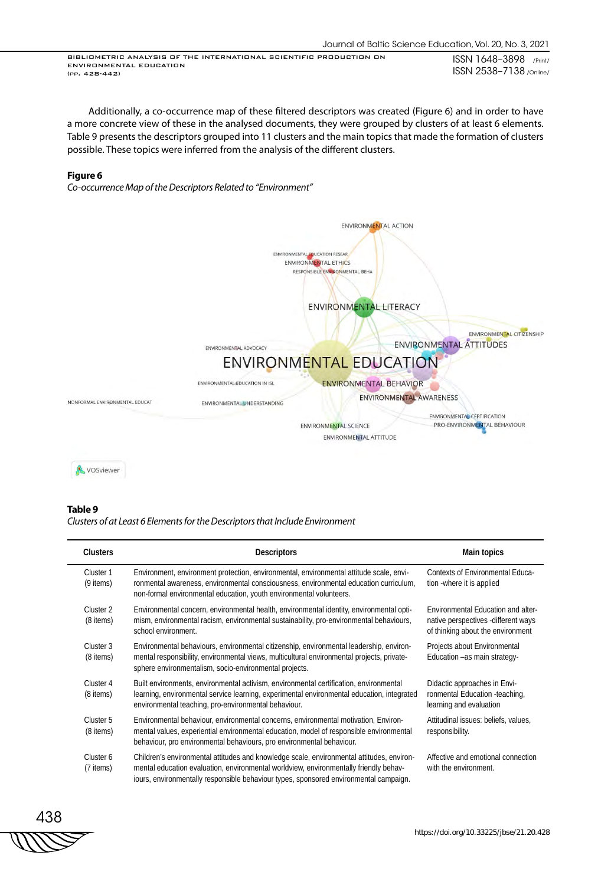Additionally, a co-occurrence map of these filtered descriptors was created (Figure 6) and in order to have a more concrete view of these in the analysed documents, they were grouped by clusters of at least 6 elements. Table 9 presents the descriptors grouped into 11 clusters and the main topics that made the formation of clusters possible. These topics were inferred from the analysis of the different clusters.

#### **Figure 6**

*Co-occurrence Map of the Descriptors Related to "Environment"*



#### **Table 9**

*Clusters of at Least 6 Elements for the Descriptors that Include Environment*

| <b>Clusters</b>        | <b>Descriptors</b>                                                                                                                                                                                                                                                          | Main topics                                                                                                    |
|------------------------|-----------------------------------------------------------------------------------------------------------------------------------------------------------------------------------------------------------------------------------------------------------------------------|----------------------------------------------------------------------------------------------------------------|
| Cluster 1<br>(9 items) | Environment, environment protection, environmental, environmental attitude scale, envi-<br>ronmental awareness, environmental consciousness, environmental education curriculum,<br>non-formal environmental education, youth environmental volunteers.                     | Contexts of Environmental Educa-<br>tion -where it is applied                                                  |
| Cluster 2<br>(8 items) | Environmental concern, environmental health, environmental identity, environmental opti-<br>mism, environmental racism, environmental sustainability, pro-environmental behaviours,<br>school environment.                                                                  | Environmental Education and alter-<br>native perspectives -different ways<br>of thinking about the environment |
| Cluster 3<br>(8 items) | Environmental behaviours, environmental citizenship, environmental leadership, environ-<br>mental responsibility, environmental views, multicultural environmental projects, private-<br>sphere environmentalism, socio-environmental projects.                             | Projects about Environmental<br>Education -as main strategy-                                                   |
| Cluster 4<br>(8 items) | Built environments, environmental activism, environmental certification, environmental<br>learning, environmental service learning, experimental environmental education, integrated<br>environmental teaching, pro-environmental behaviour.                                | Didactic approaches in Envi-<br>ronmental Education -teaching,<br>learning and evaluation                      |
| Cluster 5<br>(8 items) | Environmental behaviour, environmental concerns, environmental motivation, Environ-<br>mental values, experiential environmental education, model of responsible environmental<br>behaviour, pro environmental behaviours, pro environmental behaviour.                     | Attitudinal issues: beliefs, values,<br>responsibility.                                                        |
| Cluster 6<br>(7 items) | Children's environmental attitudes and knowledge scale, environmental attitudes, environ-<br>mental education evaluation, environmental worldview, environmentally friendly behav-<br>iours, environmentally responsible behaviour types, sponsored environmental campaign. | Affective and emotional connection<br>with the environment.                                                    |

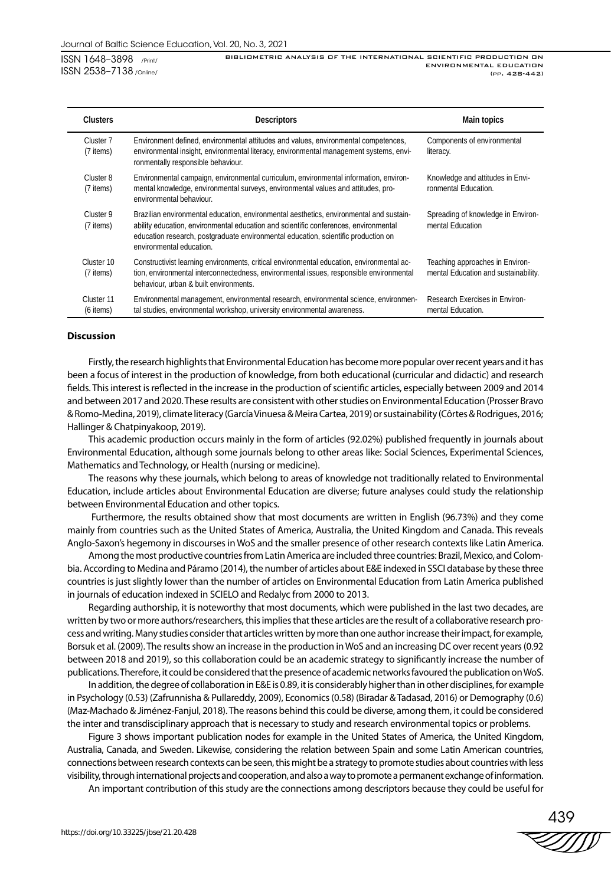BIBLIOMETRIC ANALYSIS OF THE INTERNATIONAL SCIENTIFIC PRODUCTION ON ENVIRONMENTAL EDUCATION (pp. 428-442)

| <b>Clusters</b>           | <b>Descriptors</b>                                                                                                                                                                                                                                                                                | Main topics                                                             |
|---------------------------|---------------------------------------------------------------------------------------------------------------------------------------------------------------------------------------------------------------------------------------------------------------------------------------------------|-------------------------------------------------------------------------|
| Cluster 7<br>(7 items)    | Environment defined, environmental attitudes and values, environmental competences,<br>environmental insight, environmental literacy, environmental management systems, envi-<br>ronmentally responsible behaviour.                                                                               | Components of environmental<br>literacy.                                |
| Cluster 8<br>(7 items)    | Environmental campaign, environmental curriculum, environmental information, environ-<br>mental knowledge, environmental surveys, environmental values and attitudes, pro-<br>environmental behaviour.                                                                                            | Knowledge and attitudes in Envi-<br>ronmental Education.                |
| Cluster 9<br>(7 items)    | Brazilian environmental education, environmental aesthetics, environmental and sustain-<br>ability education, environmental education and scientific conferences, environmental<br>education research, postgraduate environmental education, scientific production on<br>environmental education. | Spreading of knowledge in Environ-<br>mental Education                  |
| Cluster 10<br>(7 items)   | Constructivist learning environments, critical environmental education, environmental ac-<br>tion, environmental interconnectedness, environmental issues, responsible environmental<br>behaviour, urban & built environments.                                                                    | Teaching approaches in Environ-<br>mental Education and sustainability. |
| Cluster 11<br>$(6$ items) | Environmental management, environmental research, environmental science, environmen-<br>tal studies, environmental workshop, university environmental awareness.                                                                                                                                  | Research Exercises in Environ-<br>mental Education.                     |

#### **Discussion**

Firstly, the research highlights that Environmental Education has become more popular over recent years and it has been a focus of interest in the production of knowledge, from both educational (curricular and didactic) and research fields. This interest is reflected in the increase in the production of scientific articles, especially between 2009 and 2014 and between 2017 and 2020. These results are consistent with other studies on Environmental Education (Prosser Bravo & Romo-Medina, 2019), climate literacy (García Vinuesa & Meira Cartea, 2019) or sustainability (Côrtes & Rodrigues, 2016; Hallinger & Chatpinyakoop, 2019).

This academic production occurs mainly in the form of articles (92.02%) published frequently in journals about Environmental Education, although some journals belong to other areas like: Social Sciences, Experimental Sciences, Mathematics and Technology, or Health (nursing or medicine).

The reasons why these journals, which belong to areas of knowledge not traditionally related to Environmental Education, include articles about Environmental Education are diverse; future analyses could study the relationship between Environmental Education and other topics.

 Furthermore, the results obtained show that most documents are written in English (96.73%) and they come mainly from countries such as the United States of America, Australia, the United Kingdom and Canada. This reveals Anglo-Saxon's hegemony in discourses in WoS and the smaller presence of other research contexts like Latin America.

Among the most productive countries from Latin America are included three countries: Brazil, Mexico, and Colombia. According to Medina and Páramo (2014), the number of articles about E&E indexed in SSCI database by these three countries is just slightly lower than the number of articles on Environmental Education from Latin America published in journals of education indexed in SCIELO and Redalyc from 2000 to 2013.

Regarding authorship, it is noteworthy that most documents, which were published in the last two decades, are written by two or more authors/researchers, this implies that these articles are the result of a collaborative research process and writing. Many studies consider that articles written by more than one author increase their impact, for example, Borsuk et al. (2009). The results show an increase in the production in WoS and an increasing DC over recent years (0.92 between 2018 and 2019), so this collaboration could be an academic strategy to significantly increase the number of publications. Therefore, it could be considered that the presence of academic networks favoured the publication on WoS.

In addition, the degree of collaboration in E&E is 0.89, it is considerably higher than in other disciplines, for example in Psychology (0.53) (Zafrunnisha & Pullareddy, 2009), Economics (0.58) (Biradar & Tadasad, 2016) or Demography (0.6) (Maz-Machado & Jiménez-Fanjul, 2018). The reasons behind this could be diverse, among them, it could be considered the inter and transdisciplinary approach that is necessary to study and research environmental topics or problems.

Figure 3 shows important publication nodes for example in the United States of America, the United Kingdom, Australia, Canada, and Sweden. Likewise, considering the relation between Spain and some Latin American countries, connections between research contexts can be seen, this might be a strategy to promote studies about countries with less visibility, through international projects and cooperation, and also a way to promote a permanent exchange of information.

An important contribution of this study are the connections among descriptors because they could be useful for

439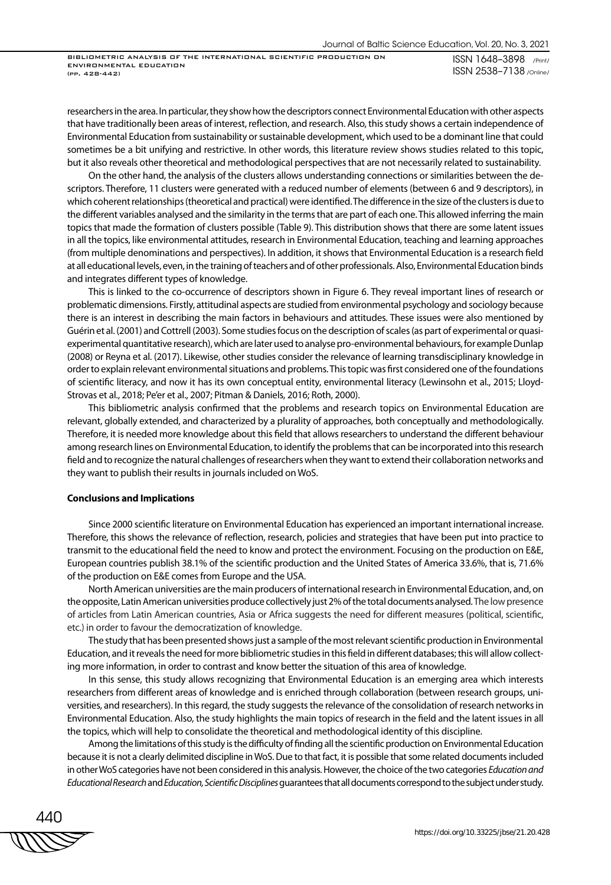BIBLIOMETRIC ANALYSIS OF THE INTERNATIONAL SCIENTIFIC PRODUCTION ON ENVIRONMENTAL EDUCATION (pp. 428-442)

ISSN 1648–3898 /Print/ ISSN 2538–7138 /Online/

researchers in the area. In particular, they show how the descriptors connect Environmental Education with other aspects that have traditionally been areas of interest, reflection, and research. Also, this study shows a certain independence of Environmental Education from sustainability or sustainable development, which used to be a dominant line that could sometimes be a bit unifying and restrictive. In other words, this literature review shows studies related to this topic, but it also reveals other theoretical and methodological perspectives that are not necessarily related to sustainability.

On the other hand, the analysis of the clusters allows understanding connections or similarities between the descriptors. Therefore, 11 clusters were generated with a reduced number of elements (between 6 and 9 descriptors), in which coherent relationships (theoretical and practical) were identified. The difference in the size of the clusters is due to the different variables analysed and the similarity in the terms that are part of each one. This allowed inferring the main topics that made the formation of clusters possible (Table 9). This distribution shows that there are some latent issues in all the topics, like environmental attitudes, research in Environmental Education, teaching and learning approaches (from multiple denominations and perspectives). In addition, it shows that Environmental Education is a research field at all educational levels, even, in the training of teachers and of other professionals. Also, Environmental Education binds and integrates different types of knowledge.

This is linked to the co-occurrence of descriptors shown in Figure 6. They reveal important lines of research or problematic dimensions. Firstly, attitudinal aspects are studied from environmental psychology and sociology because there is an interest in describing the main factors in behaviours and attitudes. These issues were also mentioned by Guérin et al. (2001) and Cottrell (2003). Some studies focus on the description of scales (as part of experimental or quasiexperimental quantitative research), which are later used to analyse pro-environmental behaviours, for example Dunlap (2008) or Reyna et al. (2017). Likewise, other studies consider the relevance of learning transdisciplinary knowledge in order to explain relevant environmental situations and problems. This topic was first considered one of the foundations of scientific literacy, and now it has its own conceptual entity, environmental literacy (Lewinsohn et al., 2015; Lloyd-Strovas et al., 2018; Pe'er et al., 2007; Pitman & Daniels, 2016; Roth, 2000).

This bibliometric analysis confirmed that the problems and research topics on Environmental Education are relevant, globally extended, and characterized by a plurality of approaches, both conceptually and methodologically. Therefore, it is needed more knowledge about this field that allows researchers to understand the different behaviour among research lines on Environmental Education, to identify the problems that can be incorporated into this research field and to recognize the natural challenges of researchers when they want to extend their collaboration networks and they want to publish their results in journals included on WoS.

## **Conclusions and Implications**

Since 2000 scientific literature on Environmental Education has experienced an important international increase. Therefore, this shows the relevance of reflection, research, policies and strategies that have been put into practice to transmit to the educational field the need to know and protect the environment. Focusing on the production on E&E, European countries publish 38.1% of the scientific production and the United States of America 33.6%, that is, 71.6% of the production on E&E comes from Europe and the USA.

North American universities are the main producers of international research in Environmental Education, and, on the opposite, Latin American universities produce collectively just 2% of the total documents analysed. The low presence of articles from Latin American countries, Asia or Africa suggests the need for different measures (political, scientific, etc.) in order to favour the democratization of knowledge.

The study that has been presented shows just a sample of the most relevant scientific production in Environmental Education, and it reveals the need for more bibliometric studies in this field in different databases; this will allow collecting more information, in order to contrast and know better the situation of this area of knowledge.

In this sense, this study allows recognizing that Environmental Education is an emerging area which interests researchers from different areas of knowledge and is enriched through collaboration (between research groups, universities, and researchers). In this regard, the study suggests the relevance of the consolidation of research networks in Environmental Education. Also, the study highlights the main topics of research in the field and the latent issues in all the topics, which will help to consolidate the theoretical and methodological identity of this discipline.

Among the limitations of this study is the difficulty of finding all the scientific production on Environmental Education because it is not a clearly delimited discipline in WoS. Due to that fact, it is possible that some related documents included in other WoS categories have not been considered in this analysis. However, the choice of the two categories *Education and Educational Research* and *Education, Scientific Disciplines* guarantees that all documents correspond to the subject under study.

440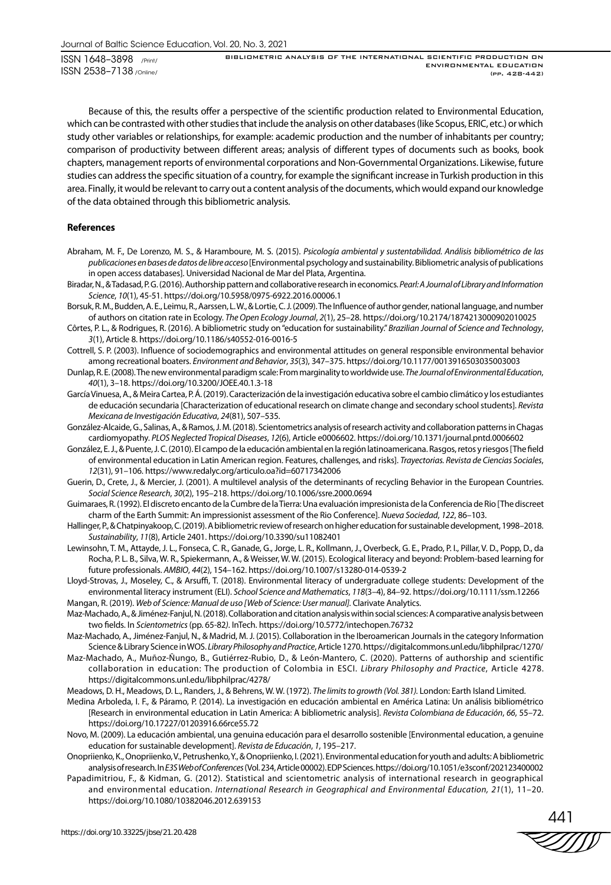BIBLIOMETRIC ANALYSIS OF THE INTERNATIONAL SCIENTIFIC PRODUCTION ON ENVIRONMENTAL EDUCATION (pp. 428-442)

Because of this, the results offer a perspective of the scientific production related to Environmental Education, which can be contrasted with other studies that include the analysis on other databases (like Scopus, ERIC, etc.) or which study other variables or relationships, for example: academic production and the number of inhabitants per country; comparison of productivity between different areas; analysis of different types of documents such as books, book chapters, management reports of environmental corporations and Non-Governmental Organizations. Likewise, future studies can address the specific situation of a country, for example the significant increase in Turkish production in this area. Finally, it would be relevant to carry out a content analysis of the documents, which would expand our knowledge of the data obtained through this bibliometric analysis.

#### **References**

- Abraham, M. F., De Lorenzo, M. S., & Haramboure, M. S. (2015). *Psicología ambiental y sustentabilidad. Análisis bibliométrico de las publicaciones en bases de datos de libre acceso* [Environmental psychology and sustainability. Bibliometric analysis of publications in open access databases]. Universidad Nacional de Mar del Plata, Argentina.
- Biradar, N., & Tadasad, P. G. (2016). Authorship pattern and collaborative research in economics. *Pearl: A Journal of Library and Information Science*, *10*(1), 45-51. https://doi.org/10.5958/0975-6922.2016.00006.1
- Borsuk, R. M., Budden, A. E., Leimu, R., Aarssen, L. W., & Lortie, C. J. (2009). The Influence of author gender, national language, and number of authors on citation rate in Ecology. *The Open Ecology Journal*, *2*(1), 25–28. https://doi.org/10.2174/1874213000902010025
- Côrtes, P. L., & Rodrigues, R. (2016). A bibliometric study on "education for sustainability." *Brazilian Journal of Science and Technology*, *3*(1), Article 8. https://doi.org/10.1186/s40552-016-0016-5
- Cottrell, S. P. (2003). Influence of sociodemographics and environmental attitudes on general responsible environmental behavior among recreational boaters. *Environment and Behavior*, *35*(3), 347–375. https://doi.org/10.1177/0013916503035003003
- Dunlap, R. E. (2008). The new environmental paradigm scale: From marginality to worldwide use. *The Journal of Environmental Education*, *40*(1), 3–18. https://doi.org/10.3200/JOEE.40.1.3-18
- García Vinuesa, A., & Meira Cartea, P. Á. (2019). Caracterización de la investigación educativa sobre el cambio climático y los estudiantes de educación secundaria [Characterization of educational research on climate change and secondary school students]. *Revista Mexicana de Investigación Educativa*, *24*(81), 507–535.
- González-Alcaide, G., Salinas, A., & Ramos, J. M. (2018). Scientometrics analysis of research activity and collaboration patterns in Chagas cardiomyopathy. *PLOS Neglected Tropical Diseases*, *12*(6), Article e0006602. https://doi.org/10.1371/journal.pntd.0006602
- González, E. J., & Puente, J. C. (2010). El campo de la educación ambiental en la región latinoamericana. Rasgos, retos y riesgos [The field of environmental education in Latin American region. Features, challenges, and risks]. *Trayectorias. Revista de Ciencias Sociales*, *12*(31), 91–106. https://www.redalyc.org/articulo.oa?id=60717342006
- Guerin, D., Crete, J., & Mercier, J. (2001). A multilevel analysis of the determinants of recycling Behavior in the European Countries. *Social Science Research*, *30*(2), 195–218. https://doi.org/10.1006/ssre.2000.0694
- Guimaraes, R. (1992). El discreto encanto de la Cumbre de la Tierra: Una evaluación impresionista de la Conferencia de Rio [The discreet charm of the Earth Summit: An impressionist assessment of the Rio Conference]. *Nueva Sociedad*, *122*, 86–103.
- Hallinger, P., & Chatpinyakoop, C. (2019). A bibliometric review of research on higher education for sustainable development, 1998–2018. *Sustainability*, *11*(8), Article 2401. https://doi.org/10.3390/su11082401
- Lewinsohn, T. M., Attayde, J. L., Fonseca, C. R., Ganade, G., Jorge, L. R., Kollmann, J., Overbeck, G. E., Prado, P. I., Pillar, V. D., Popp, D., da Rocha, P. L. B., Silva, W. R., Spiekermann, A., & Weisser, W. W. (2015). Ecological literacy and beyond: Problem-based learning for future professionals. *AMBIO*, *44*(2), 154–162. https://doi.org/10.1007/s13280-014-0539-2
- Lloyd-Strovas, J., Moseley, C., & Arsuffi, T. (2018). Environmental literacy of undergraduate college students: Development of the environmental literacy instrument (ELI). *School Science and Mathematics*, *118*(3–4), 84–92. https://doi.org/10.1111/ssm.12266 Mangan, R. (2019). *Web of Science: Manual de uso [Web of Science: User manual].* Clarivate Analytics.
- Maz-Machado, A., & Jiménez-Fanjul, N. (2018). Collaboration and citation analysis within social sciences: A comparative analysis between two fields. In *Scientometrics* (pp. 65-82*)*. InTech. https://doi.org/10.5772/intechopen.76732
- Maz-Machado, A., Jiménez-Fanjul, N., & Madrid, M. J. (2015). Collaboration in the Iberoamerican Journals in the category Information Science & Library Science in WOS. *Library Philosophy and Practice*, Article 1270. https://digitalcommons.unl.edu/libphilprac/1270/
- Maz-Machado, A., Muñoz-Ñungo, B., Gutiérrez-Rubio, D., & León-Mantero, C. (2020). Patterns of authorship and scientific collaboration in education: The production of Colombia in ESCI. *Library Philosophy and Practice*, Article 4278. https://digitalcommons.unl.edu/libphilprac/4278/
- Meadows, D. H., Meadows, D. L., Randers, J., & Behrens, W. W. (1972). *The limits to growth (Vol. 381).* London: Earth Island Limited.
- Medina Arboleda, I. F., & Páramo, P. (2014). La investigación en educación ambiental en América Latina: Un análisis bibliométrico [Research in environmental education in Latin America: A bibliometric analysis]. *Revista Colombiana de Educación*, *66*, 55–72. https://doi.org/10.17227/01203916.66rce55.72
- Novo, M. (2009). La educación ambiental, una genuina educación para el desarrollo sostenible [Environmental education, a genuine education for sustainable development]. *Revista de Educación*, *1*, 195–217.
- Onopriienko, K., Onopriienko, V., Petrushenko, Y., & Onopriienko, I. (2021). Environmental education for youth and adults: A bibliometric analysis of research. In *E3S Web of Conferences* (Vol. 234, Article 00002). EDP Sciences. https://doi.org/10.1051/e3sconf/202123400002
- Papadimitriou, F., & Kidman, G. (2012). Statistical and scientometric analysis of international research in geographical and environmental education. *International Research in Geographical and Environmental Education, 21*(1), 11–20. https://doi.org/10.1080/10382046.2012.639153

441 ZIIIV